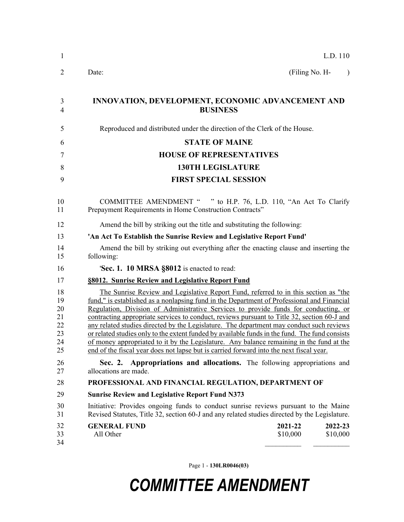| 1                                            | L.D. 110                                                                                                                                                                                                                                                                                                                                                                                                                                                                                                                                                                                                                                                                                                                                                     |  |  |  |
|----------------------------------------------|--------------------------------------------------------------------------------------------------------------------------------------------------------------------------------------------------------------------------------------------------------------------------------------------------------------------------------------------------------------------------------------------------------------------------------------------------------------------------------------------------------------------------------------------------------------------------------------------------------------------------------------------------------------------------------------------------------------------------------------------------------------|--|--|--|
| 2                                            | Date:<br>(Filing No. H-<br>$\lambda$                                                                                                                                                                                                                                                                                                                                                                                                                                                                                                                                                                                                                                                                                                                         |  |  |  |
| 3<br>4                                       | INNOVATION, DEVELOPMENT, ECONOMIC ADVANCEMENT AND<br><b>BUSINESS</b>                                                                                                                                                                                                                                                                                                                                                                                                                                                                                                                                                                                                                                                                                         |  |  |  |
| 5                                            | Reproduced and distributed under the direction of the Clerk of the House.                                                                                                                                                                                                                                                                                                                                                                                                                                                                                                                                                                                                                                                                                    |  |  |  |
| 6                                            | <b>STATE OF MAINE</b>                                                                                                                                                                                                                                                                                                                                                                                                                                                                                                                                                                                                                                                                                                                                        |  |  |  |
| 7                                            | <b>HOUSE OF REPRESENTATIVES</b>                                                                                                                                                                                                                                                                                                                                                                                                                                                                                                                                                                                                                                                                                                                              |  |  |  |
| 8                                            | <b>130TH LEGISLATURE</b>                                                                                                                                                                                                                                                                                                                                                                                                                                                                                                                                                                                                                                                                                                                                     |  |  |  |
| 9                                            | <b>FIRST SPECIAL SESSION</b>                                                                                                                                                                                                                                                                                                                                                                                                                                                                                                                                                                                                                                                                                                                                 |  |  |  |
| 10<br>11                                     | COMMITTEE AMENDMENT " " to H.P. 76, L.D. 110, "An Act To Clarify<br>Prepayment Requirements in Home Construction Contracts"                                                                                                                                                                                                                                                                                                                                                                                                                                                                                                                                                                                                                                  |  |  |  |
| 12                                           | Amend the bill by striking out the title and substituting the following:                                                                                                                                                                                                                                                                                                                                                                                                                                                                                                                                                                                                                                                                                     |  |  |  |
| 13                                           | 'An Act To Establish the Sunrise Review and Legislative Report Fund'                                                                                                                                                                                                                                                                                                                                                                                                                                                                                                                                                                                                                                                                                         |  |  |  |
| 14<br>15                                     | Amend the bill by striking out everything after the enacting clause and inserting the<br>following:                                                                                                                                                                                                                                                                                                                                                                                                                                                                                                                                                                                                                                                          |  |  |  |
| 16                                           | 'Sec. 1. 10 MRSA §8012 is enacted to read:                                                                                                                                                                                                                                                                                                                                                                                                                                                                                                                                                                                                                                                                                                                   |  |  |  |
| 17                                           | §8012. Sunrise Review and Legislative Report Fund                                                                                                                                                                                                                                                                                                                                                                                                                                                                                                                                                                                                                                                                                                            |  |  |  |
| 18<br>19<br>20<br>21<br>22<br>23<br>24<br>25 | The Sunrise Review and Legislative Report Fund, referred to in this section as "the<br>fund," is established as a nonlapsing fund in the Department of Professional and Financial<br>Regulation, Division of Administrative Services to provide funds for conducting, or<br>contracting appropriate services to conduct, reviews pursuant to Title 32, section 60-J and<br>any related studies directed by the Legislature. The department may conduct such reviews<br>or related studies only to the extent funded by available funds in the fund. The fund consists<br>of money appropriated to it by the Legislature. Any balance remaining in the fund at the<br>end of the fiscal year does not lapse but is carried forward into the next fiscal year. |  |  |  |
| 26<br>27                                     | Appropriations and allocations. The following appropriations and<br>Sec. 2.<br>allocations are made.                                                                                                                                                                                                                                                                                                                                                                                                                                                                                                                                                                                                                                                         |  |  |  |
| 28                                           | PROFESSIONAL AND FINANCIAL REGULATION, DEPARTMENT OF                                                                                                                                                                                                                                                                                                                                                                                                                                                                                                                                                                                                                                                                                                         |  |  |  |
| 29                                           | <b>Sunrise Review and Legislative Report Fund N373</b>                                                                                                                                                                                                                                                                                                                                                                                                                                                                                                                                                                                                                                                                                                       |  |  |  |
| 30<br>31                                     | Initiative: Provides ongoing funds to conduct sunrise reviews pursuant to the Maine<br>Revised Statutes, Title 32, section 60-J and any related studies directed by the Legislature.                                                                                                                                                                                                                                                                                                                                                                                                                                                                                                                                                                         |  |  |  |
| 32<br>33<br>34                               | <b>GENERAL FUND</b><br>2021-22<br>2022-23<br>All Other<br>\$10,000<br>\$10,000                                                                                                                                                                                                                                                                                                                                                                                                                                                                                                                                                                                                                                                                               |  |  |  |

Page 1 - **130LR0046(03)**

## *COMMITTEE AMENDMENT*